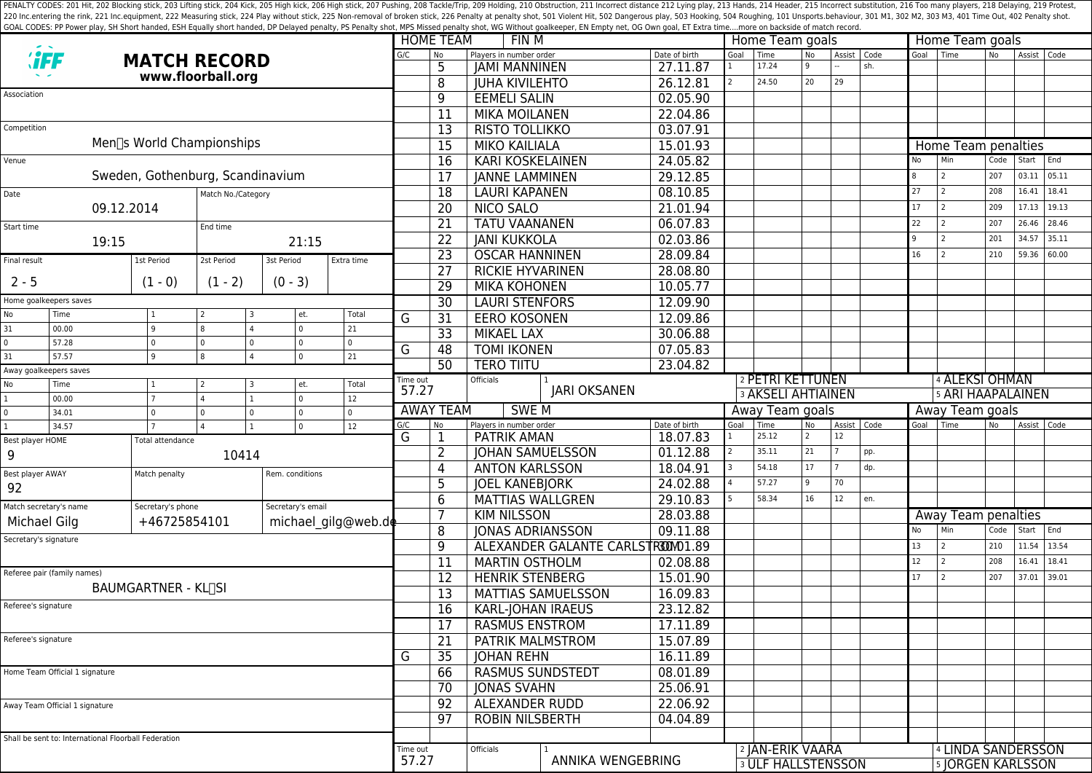PENALTY CODES: 201 Hit, 202 Blocking stick, 203 Lifting stick, 204 Kick, 204 Kick, 205 High kick, 204 Kick, 205 High kick, 206 High stick, 206 High stick, 206 High stick, 206 High stick, 207 Pushing, 208 Tackle/Trip, 209 H 220 Inc.entering the rink, 221 Inc.equipment, 222 Measuring stick, 224 Play without stick, 225 Non-removal of broken stick, 225 Poralty shot, 501 Violent Hit, 502 Dangerous play, 503 Hooking, 504 Roughing, 101 Unsports.beh GOAL CODES: PP Power play, SH Short handed, ESH Equally short handed, DP Delayed penalty, PS Penalty shot, MPS Missed penalty shot, WG Without goalkeeper, EN Empty net, OG Own goal, ET Extra time....more on backside of mat

|                                               |                                                      |                                     |                 |                                       |                     |                                               | <b>HOME TEAM</b><br>FIN M<br>G/C |                           |                                   |                    |                      |                           | Home Team goals                                          |           |                |                | Home Team goals   |                            |                |        |       |  |
|-----------------------------------------------|------------------------------------------------------|-------------------------------------|-----------------|---------------------------------------|---------------------|-----------------------------------------------|----------------------------------|---------------------------|-----------------------------------|--------------------|----------------------|---------------------------|----------------------------------------------------------|-----------|----------------|----------------|-------------------|----------------------------|----------------|--------|-------|--|
|                                               | <b><i>'iFF</i></b>                                   | <b>MATCH RECORD</b>                 |                 |                                       |                     |                                               |                                  | <b>No</b>                 | Players in number order           |                    | Date of birth        | Goal                      | Time<br>17.24                                            | <b>No</b> | Assist   Code  | sh.            | Goal              | Time                       | N <sub>o</sub> | Assist | Code  |  |
| www.floorball.org                             |                                                      |                                     |                 |                                       |                     | 5                                             | <b>JAMI MANNINEN</b>             |                           | 27.11.87                          |                    | 24.50                | 20                        | 29                                                       |           |                |                |                   |                            |                |        |       |  |
| Association                                   |                                                      |                                     |                 |                                       |                     |                                               |                                  | $\overline{8}$            | <b>JUHA KIVILEHTO</b>             |                    | 26.12.81             |                           |                                                          |           |                |                |                   |                            |                |        |       |  |
|                                               |                                                      |                                     |                 |                                       |                     |                                               |                                  | $\overline{9}$            | <b>EEMELI SALIN</b>               |                    | 02.05.90             |                           |                                                          |           |                |                |                   |                            |                |        |       |  |
| Competition                                   |                                                      |                                     |                 |                                       |                     |                                               |                                  | $\overline{11}$           | <b>MIKA MOILANEN</b>              |                    | 22.04.86             |                           |                                                          |           |                |                |                   |                            |                |        |       |  |
|                                               |                                                      | Men∏s World Championships           |                 |                                       |                     |                                               |                                  | 13                        | RISTO TOLLIKKO                    |                    | 03.07.91             |                           |                                                          |           |                |                |                   |                            |                |        |       |  |
|                                               |                                                      |                                     |                 |                                       |                     |                                               |                                  | 15                        | <b>MIKO KAILIALA</b>              |                    | 15.01.93             |                           |                                                          |           |                |                |                   | Home Team penalties<br>Min |                |        | End   |  |
| Venue                                         |                                                      |                                     |                 |                                       |                     |                                               |                                  | 16                        | <b>KARI KOSKELAINEN</b>           |                    | 24.05.82             |                           |                                                          |           |                |                | No                |                            | Code           | Start  |       |  |
|                                               |                                                      | Sweden, Gothenburg, Scandinavium    |                 |                                       |                     |                                               |                                  | 17                        | <b>JANNE LAMMINEN</b>             |                    | 29.12.85             |                           |                                                          |           |                |                | 8                 | 2                          | 207            | 03.11  | 05.11 |  |
| Date<br>Match No./Category                    |                                                      |                                     |                 |                                       |                     |                                               | $\overline{18}$                  | <b>LAURI KAPANEN</b>      |                                   | 08.10.85           |                      |                           |                                                          |           |                | 27             | 2                 | 208                        | 16.41          | 18.41  |       |  |
|                                               | 09.12.2014                                           |                                     |                 |                                       |                     |                                               |                                  | $\overline{20}$           | <b>NICO SALO</b>                  | 21.01.94           |                      |                           |                                                          |           |                | 17             | 2                 | 209                        | 17.13          | 19.13  |       |  |
| Start time                                    |                                                      |                                     | End time        |                                       |                     |                                               |                                  | $\overline{21}$           | <b>TATU VAANANEN</b>              | 06.07.83           |                      |                           |                                                          |           |                | 22             | $\overline{2}$    | 207                        | 26.46          | 28.46  |       |  |
|                                               | 19:15                                                | 21:15                               |                 |                                       |                     |                                               | $\overline{22}$                  | <b>JANI KUKKOLA</b>       | 02.03.86                          |                    |                      |                           |                                                          |           | $\overline{9}$ | $\overline{2}$ | 201               | 34.57                      | 35.11          |        |       |  |
| Final result                                  |                                                      | 1st Period                          | 2st Period      | 3st Period                            |                     | Extra time                                    |                                  | $\overline{23}$           | <b>OSCAR HANNINEN</b>             |                    | 28.09.84             |                           |                                                          |           |                |                | 16                | $\overline{2}$             | 210            | 59.36  | 60.00 |  |
| $2 - 5$                                       |                                                      | $(1 - 0)$                           | $(1 - 2)$       | $(0 - 3)$                             |                     |                                               |                                  | $\overline{27}$           | <b>RICKIE HYVARINEN</b>           |                    | 28.08.80             |                           |                                                          |           |                |                |                   |                            |                |        |       |  |
|                                               |                                                      |                                     |                 |                                       |                     |                                               |                                  | 29                        | <b>MIKA KOHONEN</b>               |                    | 10.05.77             |                           |                                                          |           |                |                |                   |                            |                |        |       |  |
| Home goalkeepers saves                        |                                                      |                                     |                 |                                       |                     | $\overline{30}$                               | <b>LAURI STENFORS</b>            |                           | 12.09.90                          |                    |                      |                           |                                                          |           |                |                |                   |                            |                |        |       |  |
| No<br>31                                      | Time<br>00.00                                        | $\overline{9}$                      | l 3             | et.<br>$\mathbf{0}$<br>$\overline{4}$ | Total<br>21         |                                               | G                                | $\overline{31}$           | <b>EERO KOSONEN</b>               |                    | 12.09.86             |                           |                                                          |           |                |                |                   |                            |                |        |       |  |
| $\Omega$                                      | 57.28                                                | 0                                   | $\Omega$        | $\mathsf 0$<br>0                      | $\mathbf 0$         |                                               |                                  | $\overline{33}$           | <b>MIKAEL LAX</b>                 |                    | 30.06.88             |                           |                                                          |           |                |                |                   |                            |                |        |       |  |
| 31                                            | 57.57<br>9<br>$\mathbf 0$<br>21<br>$\Delta$          |                                     | G               | 48                                    | <b>TOMI IKONEN</b>  |                                               | 07.05.83                         |                           |                                   |                    |                      |                           |                                                          |           |                |                |                   |                            |                |        |       |  |
| Away goalkeepers saves                        |                                                      |                                     |                 |                                       |                     |                                               | 50                               | <b>TERO TIITU</b>         |                                   | 23.04.82           |                      |                           |                                                          |           |                |                |                   |                            |                |        |       |  |
| No                                            | Time                                                 | Total<br>$\mathbf{1}$<br>l 3<br>et. |                 |                                       |                     | Time out<br>57.27                             |                                  | Officials                 | <b>JARI OKSANEN</b>               |                    |                      | 2 PETRI KETTUNEN          |                                                          |           |                |                | 4 ALEKSI OHMAN    |                            |                |        |       |  |
|                                               | 00.00                                                | $\overline{7}$                      |                 | $\Omega$                              | 12                  |                                               |                                  |                           |                                   |                    |                      | <b>3 AKSELI AHTIAINEN</b> |                                                          |           |                |                | 5 ARI HAAPALAINEN |                            |                |        |       |  |
|                                               | 34.01                                                | 0                                   |                 | $\mathsf 0$<br>0                      | $\mathbf 0$         |                                               |                                  | <b>AWAY TEAM</b>          | <b>SWEM</b>                       |                    | Away Team goals      |                           |                                                          |           |                |                | Away Team goals   |                            |                |        |       |  |
| 34.57<br>12<br>$\mathbf{0}$<br>$\overline{1}$ |                                                      |                                     |                 | G/C<br>G                              | No<br>1             | Players in number order<br><b>PATRIK AMAN</b> |                                  | Date of birth<br>18.07.83 | Goal                              | Time<br>25.12      | No<br>$\overline{2}$ | Assist   Code<br>12       |                                                          | Goal      | Time           | l No           | Assist            | Code                       |                |        |       |  |
| Best player HOME<br>Total attendance          |                                                      |                                     |                 |                                       |                     | $\overline{2}$                                | <b>JOHAN SAMUELSSON</b>          |                           | 01.12.88                          |                    | 35.11                | 21                        |                                                          | pp.       |                |                |                   |                            |                |        |       |  |
| 9                                             |                                                      |                                     | 10414           |                                       |                     |                                               |                                  | 4                         | <b>ANTON KARLSSON</b>             |                    | 18.04.91             |                           | 54.18                                                    | 17        |                | dp.            |                   |                            |                |        |       |  |
| Best player AWAY                              |                                                      | Match penalty                       | Rem. conditions |                                       |                     |                                               |                                  | 5                         | <b>JOEL KANEBJORK</b>             |                    | 24.02.88             |                           | 57.27                                                    | q         | 70             |                |                   |                            |                |        |       |  |
| 92                                            |                                                      |                                     |                 |                                       |                     |                                               |                                  | 6                         | <b>MATTIAS WALLGREN</b>           |                    | 29.10.83             |                           | 58.34                                                    | 16        | 12             | en.            |                   |                            |                |        |       |  |
|                                               | Match secretary's name                               | Secretary's phone                   |                 | Secretary's email                     |                     |                                               |                                  | 7                         | <b>KIM NILSSON</b>                |                    | 28.03.88             |                           |                                                          |           |                |                |                   | Away Team penalties        |                |        |       |  |
| Michael Gilg                                  |                                                      |                                     | +46725854101    |                                       | michael gilg@web.de |                                               |                                  | 8                         | <b>JONAS ADRIANSSON</b>           |                    | 09.11.88             |                           |                                                          |           |                |                | No                | Min                        | Code           | Start  | End   |  |
| Secretary's signature                         |                                                      |                                     |                 |                                       |                     |                                               | $\overline{9}$                   |                           | ALEXANDER GALANTE CARLSTR30001.89 |                    |                      |                           |                                                          |           |                | 13             | $\overline{2}$    | 210                        | 11.54          | 13.54  |       |  |
|                                               |                                                      |                                     |                 |                                       |                     |                                               |                                  | $\overline{11}$           | <b>MARTIN OSTHOLM</b>             |                    | 02.08.88             |                           |                                                          |           |                |                | 12                | $\overline{2}$             | 208            | 16.41  | 18.41 |  |
| Referee pair (family names)                   |                                                      |                                     |                 |                                       |                     |                                               |                                  | $\overline{12}$           | <b>HENRIK STENBERG</b>            |                    | 15.01.90             |                           |                                                          |           |                |                | 17                | $\overline{z}$             | 207            | 37.01  | 39.01 |  |
| <b>BAUMGARTNER - KLUSI</b>                    |                                                      |                                     |                 |                                       |                     |                                               |                                  | $\overline{13}$           |                                   | MATTIAS SAMUELSSON | 16.09.83             |                           |                                                          |           |                |                |                   |                            |                |        |       |  |
| Referee's signature                           |                                                      |                                     |                 |                                       |                     |                                               |                                  | $\overline{16}$           | KARL-JOHAN IRAEUS                 |                    | 23.12.82             |                           |                                                          |           |                |                |                   |                            |                |        |       |  |
|                                               |                                                      |                                     |                 |                                       |                     |                                               |                                  |                           | <b>RASMUS ENSTROM</b>             |                    | 17.11.89             |                           |                                                          |           |                |                |                   |                            |                |        |       |  |
| Referee's signature                           |                                                      |                                     |                 |                                       |                     |                                               |                                  | 17                        |                                   |                    |                      |                           |                                                          |           |                |                |                   |                            |                |        |       |  |
|                                               |                                                      |                                     |                 |                                       |                     |                                               |                                  | 21                        | PATRIK MALMSTROM                  |                    | 15.07.89             |                           |                                                          |           |                |                |                   |                            |                |        |       |  |
|                                               |                                                      |                                     |                 |                                       |                     |                                               | G                                | 35                        | <b>JOHAN REHN</b>                 |                    | 16.11.89             |                           |                                                          |           |                |                |                   |                            |                |        |       |  |
| Home Team Official 1 signature                |                                                      |                                     |                 |                                       |                     |                                               |                                  | 66                        | <b>RASMUS SUNDSTEDT</b>           |                    | 08.01.89             |                           |                                                          |           |                |                |                   |                            |                |        |       |  |
|                                               |                                                      |                                     |                 |                                       |                     |                                               |                                  | 70                        | <b>JONAS SVAHN</b>                |                    | 25.06.91             |                           |                                                          |           |                |                |                   |                            |                |        |       |  |
| Away Team Official 1 signature                |                                                      |                                     |                 |                                       | 92                  | <b>ALEXANDER RUDD</b>                         |                                  | 22.06.92                  |                                   |                    |                      |                           |                                                          |           |                |                |                   |                            |                |        |       |  |
|                                               |                                                      |                                     |                 |                                       |                     |                                               | $\overline{97}$                  | <b>ROBIN NILSBERTH</b>    |                                   | 04.04.89           |                      |                           |                                                          |           |                |                |                   |                            |                |        |       |  |
|                                               | Shall be sent to: International Floorball Federation |                                     |                 |                                       |                     |                                               | Time out                         |                           |                                   |                    |                      |                           |                                                          |           |                |                |                   |                            |                |        |       |  |
|                                               |                                                      |                                     |                 |                                       |                     |                                               |                                  | 57.27                     | Officials                         | ANNIKA WENGEBRING  |                      |                           | <sup>2</sup> JAN-ERIK VAARA<br><b>3 ULF HALLSTENSSON</b> |           |                |                |                   | 4 LINDA SANDERSSON         |                |        |       |  |
|                                               |                                                      |                                     |                 |                                       |                     |                                               |                                  |                           |                                   |                    |                      |                           |                                                          |           |                |                |                   | 5 JORGEN KARLSSON          |                |        |       |  |